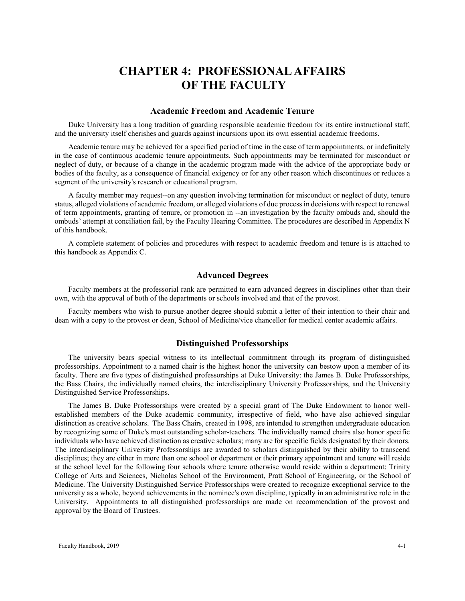# **CHAPTER 4: PROFESSIONAL AFFAIRS OF THE FACULTY**

### **Academic Freedom and Academic Tenure**

Duke University has a long tradition of guarding responsible academic freedom for its entire instructional staff, and the university itself cherishes and guards against incursions upon its own essential academic freedoms.

Academic tenure may be achieved for a specified period of time in the case of term appointments, or indefinitely in the case of continuous academic tenure appointments. Such appointments may be terminated for misconduct or neglect of duty, or because of a change in the academic program made with the advice of the appropriate body or bodies of the faculty, as a consequence of financial exigency or for any other reason which discontinues or reduces a segment of the university's research or educational program.

A faculty member may request--on any question involving termination for misconduct or neglect of duty, tenure status, alleged violations of academic freedom, or alleged violations of due process in decisions with respect to renewal of term appointments, granting of tenure, or promotion in --an investigation by the faculty ombuds and, should the ombuds' attempt at conciliation fail, by the Faculty Hearing Committee. The procedures are described in Appendix N of this handbook.

A complete statement of policies and procedures with respect to academic freedom and tenure is is attached to this handbook as Appendix C.

# **Advanced Degrees**

Faculty members at the professorial rank are permitted to earn advanced degrees in disciplines other than their own, with the approval of both of the departments or schools involved and that of the provost.

Faculty members who wish to pursue another degree should submit a letter of their intention to their chair and dean with a copy to the provost or dean, School of Medicine/vice chancellor for medical center academic affairs.

# **Distinguished Professorships**

The university bears special witness to its intellectual commitment through its program of distinguished professorships. Appointment to a named chair is the highest honor the university can bestow upon a member of its faculty. There are five types of distinguished professorships at Duke University: the James B. Duke Professorships, the Bass Chairs, the individually named chairs, the interdisciplinary University Professorships, and the University Distinguished Service Professorships.

The James B. Duke Professorships were created by a special grant of The Duke Endowment to honor wellestablished members of the Duke academic community, irrespective of field, who have also achieved singular distinction as creative scholars. The Bass Chairs, created in 1998, are intended to strengthen undergraduate education by recognizing some of Duke's most outstanding scholar-teachers. The individually named chairs also honor specific individuals who have achieved distinction as creative scholars; many are for specific fields designated by their donors. The interdisciplinary University Professorships are awarded to scholars distinguished by their ability to transcend disciplines; they are either in more than one school or department or their primary appointment and tenure will reside at the school level for the following four schools where tenure otherwise would reside within a department: Trinity College of Arts and Sciences, Nicholas School of the Environment, Pratt School of Engineering, or the School of Medicine. The University Distinguished Service Professorships were created to recognize exceptional service to the university as a whole, beyond achievements in the nominee's own discipline, typically in an administrative role in the University. Appointments to all distinguished professorships are made on recommendation of the provost and approval by the Board of Trustees.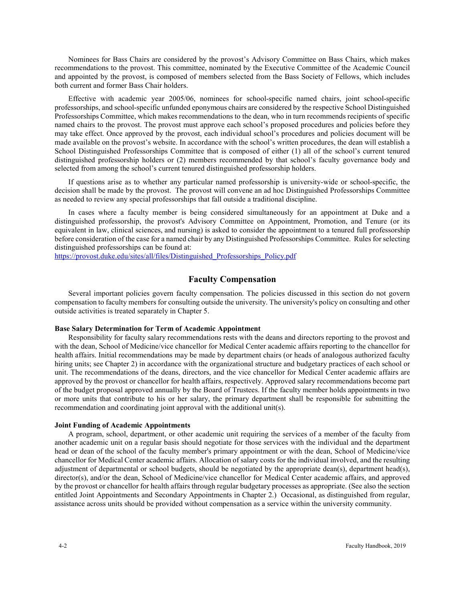Nominees for Bass Chairs are considered by the provost's Advisory Committee on Bass Chairs, which makes recommendations to the provost. This committee, nominated by the Executive Committee of the Academic Council and appointed by the provost, is composed of members selected from the Bass Society of Fellows, which includes both current and former Bass Chair holders.

Effective with academic year 2005/06, nominees for school-specific named chairs, joint school-specific professorships, and school-specific unfunded eponymous chairs are considered by the respective School Distinguished Professorships Committee, which makes recommendations to the dean, who in turn recommends recipients of specific named chairs to the provost. The provost must approve each school's proposed procedures and policies before they may take effect. Once approved by the provost, each individual school's procedures and policies document will be made available on the provost's website. In accordance with the school's written procedures, the dean will establish a School Distinguished Professorships Committee that is composed of either (1) all of the school's current tenured distinguished professorship holders or (2) members recommended by that school's faculty governance body and selected from among the school's current tenured distinguished professorship holders.

If questions arise as to whether any particular named professorship is university-wide or school-specific, the decision shall be made by the provost. The provost will convene an ad hoc Distinguished Professorships Committee as needed to review any special professorships that fall outside a traditional discipline.

In cases where a faculty member is being considered simultaneously for an appointment at Duke and a distinguished professorship, the provost's Advisory Committee on Appointment, Promotion, and Tenure (or its equivalent in law, clinical sciences, and nursing) is asked to consider the appointment to a tenured full professorship before consideration of the case for a named chair by any Distinguished Professorships Committee. Rules for selecting distinguished professorships can be found at:

[https://provost.duke.edu/sites/all/files/Distinguished\\_Professorships\\_Policy.pdf](https://provost.duke.edu/sites/all/files/Distinguished_Professorships_Policy.pdf)

# **Faculty Compensation**

Several important policies govern faculty compensation. The policies discussed in this section do not govern compensation to faculty members for consulting outside the university. The university's policy on consulting and other outside activities is treated separately in Chapter 5.

### **Base Salary Determination for Term of Academic Appointment**

Responsibility for faculty salary recommendations rests with the deans and directors reporting to the provost and with the dean, School of Medicine/vice chancellor for Medical Center academic affairs reporting to the chancellor for health affairs. Initial recommendations may be made by department chairs (or heads of analogous authorized faculty hiring units; see Chapter 2) in accordance with the organizational structure and budgetary practices of each school or unit. The recommendations of the deans, directors, and the vice chancellor for Medical Center academic affairs are approved by the provost or chancellor for health affairs, respectively. Approved salary recommendations become part of the budget proposal approved annually by the Board of Trustees. If the faculty member holds appointments in two or more units that contribute to his or her salary, the primary department shall be responsible for submitting the recommendation and coordinating joint approval with the additional unit(s).

### **Joint Funding of Academic Appointments**

A program, school, department, or other academic unit requiring the services of a member of the faculty from another academic unit on a regular basis should negotiate for those services with the individual and the department head or dean of the school of the faculty member's primary appointment or with the dean, School of Medicine/vice chancellor for Medical Center academic affairs. Allocation of salary costs for the individual involved, and the resulting adjustment of departmental or school budgets, should be negotiated by the appropriate dean(s), department head(s), director(s), and/or the dean, School of Medicine/vice chancellor for Medical Center academic affairs, and approved by the provost or chancellor for health affairs through regular budgetary processes as appropriate. (See also the section entitled Joint Appointments and Secondary Appointments in Chapter 2.) Occasional, as distinguished from regular, assistance across units should be provided without compensation as a service within the university community.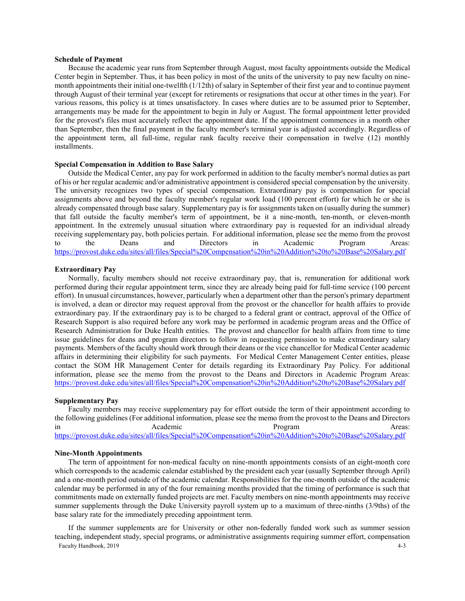### **Schedule of Payment**

Because the academic year runs from September through August, most faculty appointments outside the Medical Center begin in September. Thus, it has been policy in most of the units of the university to pay new faculty on ninemonth appointments their initial one-twelfth (1/12th) of salary in September of their first year and to continue payment through August of their terminal year (except for retirements or resignations that occur at other times in the year). For various reasons, this policy is at times unsatisfactory. In cases where duties are to be assumed prior to September, arrangements may be made for the appointment to begin in July or August. The formal appointment letter provided for the provost's files must accurately reflect the appointment date. If the appointment commences in a month other than September, then the final payment in the faculty member's terminal year is adjusted accordingly. Regardless of the appointment term, all full-time, regular rank faculty receive their compensation in twelve (12) monthly installments.

### **Special Compensation in Addition to Base Salary**

Outside the Medical Center, any pay for work performed in addition to the faculty member's normal duties as part of his or her regular academic and/or administrative appointment is considered special compensation by the university. The university recognizes two types of special compensation. Extraordinary pay is compensation for special assignments above and beyond the faculty member's regular work load (100 percent effort) for which he or she is already compensated through base salary. Supplementary pay is for assignments taken on (usually during the summer) that fall outside the faculty member's term of appointment, be it a nine-month, ten-month, or eleven-month appointment. In the extremely unusual situation where extraordinary pay is requested for an individual already receiving supplementary pay, both policies pertain. For additional information, please see the memo from the provost to the Deans and Directors in Academic Program Areas: <https://provost.duke.edu/sites/all/files/Special%20Compensation%20in%20Addition%20to%20Base%20Salary.pdf>

#### **Extraordinary Pay**

Normally, faculty members should not receive extraordinary pay, that is, remuneration for additional work performed during their regular appointment term, since they are already being paid for full-time service (100 percent effort). In unusual circumstances, however, particularly when a department other than the person's primary department is involved, a dean or director may request approval from the provost or the chancellor for health affairs to provide extraordinary pay. If the extraordinary pay is to be charged to a federal grant or contract, approval of the Office of Research Support is also required before any work may be performed in academic program areas and the Office of Research Administration for Duke Health entities. The provost and chancellor for health affairs from time to time issue guidelines for deans and program directors to follow in requesting permission to make extraordinary salary payments. Members of the faculty should work through their deans or the vice chancellor for Medical Center academic affairs in determining their eligibility for such payments. For Medical Center Management Center entities, please contact the SOM HR Management Center for details regarding its Extraordinary Pay Policy. For additional information, please see the memo from the provost to the Deans and Directors in Academic Program Areas: <https://provost.duke.edu/sites/all/files/Special%20Compensation%20in%20Addition%20to%20Base%20Salary.pdf>

### **Supplementary Pay**

Faculty members may receive supplementary pay for effort outside the term of their appointment according to the following guidelines (For additional information, please see the memo from the provost to the Deans and Directors in Academic Academic Program Areas: <https://provost.duke.edu/sites/all/files/Special%20Compensation%20in%20Addition%20to%20Base%20Salary.pdf>

#### **Nine-Month Appointments**

The term of appointment for non-medical faculty on nine-month appointments consists of an eight-month core which corresponds to the academic calendar established by the president each year (usually September through April) and a one-month period outside of the academic calendar. Responsibilities for the one-month outside of the academic calendar may be performed in any of the four remaining months provided that the timing of performance is such that commitments made on externally funded projects are met. Faculty members on nine-month appointments may receive summer supplements through the Duke University payroll system up to a maximum of three-ninths (3/9ths) of the base salary rate for the immediately preceding appointment term.

Faculty Handbook, 2019 4-3 If the summer supplements are for University or other non-federally funded work such as summer session teaching, independent study, special programs, or administrative assignments requiring summer effort, compensation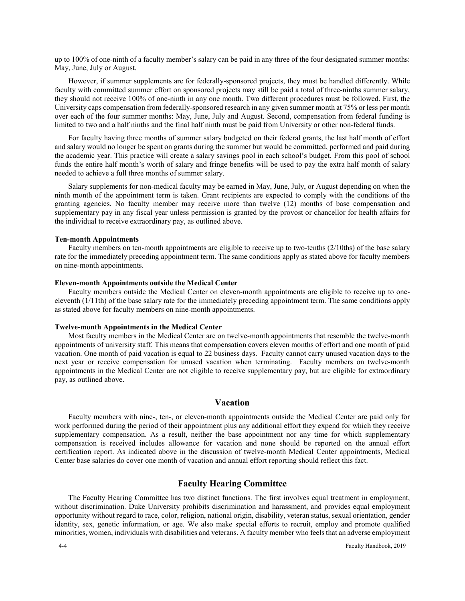up to 100% of one-ninth of a faculty member's salary can be paid in any three of the four designated summer months: May, June, July or August.

However, if summer supplements are for federally-sponsored projects, they must be handled differently. While faculty with committed summer effort on sponsored projects may still be paid a total of three-ninths summer salary, they should not receive 100% of one-ninth in any one month. Two different procedures must be followed. First, the University caps compensation from federally-sponsored research in any given summer month at 75% or less per month over each of the four summer months: May, June, July and August. Second, compensation from federal funding is limited to two and a half ninths and the final half ninth must be paid from University or other non-federal funds.

For faculty having three months of summer salary budgeted on their federal grants, the last half month of effort and salary would no longer be spent on grants during the summer but would be committed, performed and paid during the academic year. This practice will create a salary savings pool in each school's budget. From this pool of school funds the entire half month's worth of salary and fringe benefits will be used to pay the extra half month of salary needed to achieve a full three months of summer salary.

Salary supplements for non-medical faculty may be earned in May, June, July, or August depending on when the ninth month of the appointment term is taken. Grant recipients are expected to comply with the conditions of the granting agencies. No faculty member may receive more than twelve (12) months of base compensation and supplementary pay in any fiscal year unless permission is granted by the provost or chancellor for health affairs for the individual to receive extraordinary pay, as outlined above.

#### **Ten-month Appointments**

Faculty members on ten-month appointments are eligible to receive up to two-tenths (2/10ths) of the base salary rate for the immediately preceding appointment term. The same conditions apply as stated above for faculty members on nine-month appointments.

### **Eleven-month Appointments outside the Medical Center**

Faculty members outside the Medical Center on eleven-month appointments are eligible to receive up to oneeleventh (1/11th) of the base salary rate for the immediately preceding appointment term. The same conditions apply as stated above for faculty members on nine-month appointments.

#### **Twelve-month Appointments in the Medical Center**

Most faculty members in the Medical Center are on twelve-month appointments that resemble the twelve-month appointments of university staff. This means that compensation covers eleven months of effort and one month of paid vacation. One month of paid vacation is equal to 22 business days. Faculty cannot carry unused vacation days to the next year or receive compensation for unused vacation when terminating. Faculty members on twelve-month appointments in the Medical Center are not eligible to receive supplementary pay, but are eligible for extraordinary pay, as outlined above.

### **Vacation**

Faculty members with nine-, ten-, or eleven-month appointments outside the Medical Center are paid only for work performed during the period of their appointment plus any additional effort they expend for which they receive supplementary compensation. As a result, neither the base appointment nor any time for which supplementary compensation is received includes allowance for vacation and none should be reported on the annual effort certification report. As indicated above in the discussion of twelve-month Medical Center appointments, Medical Center base salaries do cover one month of vacation and annual effort reporting should reflect this fact.

# **Faculty Hearing Committee**

The Faculty Hearing Committee has two distinct functions. The first involves equal treatment in employment, without discrimination. Duke University prohibits discrimination and harassment, and provides equal employment opportunity without regard to race, color, religion, national origin, disability, veteran status, sexual orientation, gender identity, sex, genetic information, or age. We also make special efforts to recruit, employ and promote qualified minorities, women, individuals with disabilities and veterans. A faculty member who feels that an adverse employment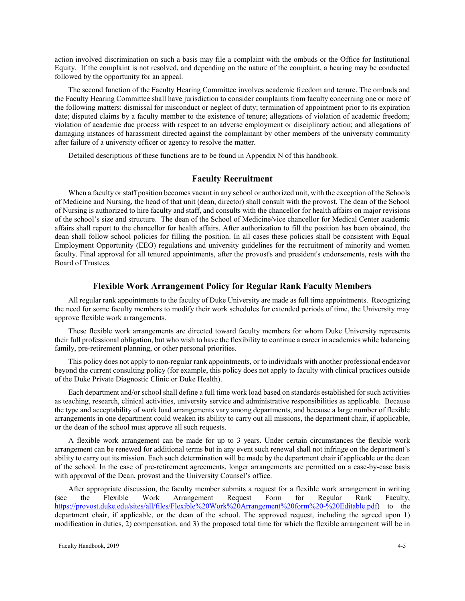action involved discrimination on such a basis may file a complaint with the ombuds or the Office for Institutional Equity. If the complaint is not resolved, and depending on the nature of the complaint, a hearing may be conducted followed by the opportunity for an appeal.

The second function of the Faculty Hearing Committee involves academic freedom and tenure. The ombuds and the Faculty Hearing Committee shall have jurisdiction to consider complaints from faculty concerning one or more of the following matters: dismissal for misconduct or neglect of duty; termination of appointment prior to its expiration date; disputed claims by a faculty member to the existence of tenure; allegations of violation of academic freedom; violation of academic due process with respect to an adverse employment or disciplinary action; and allegations of damaging instances of harassment directed against the complainant by other members of the university community after failure of a university officer or agency to resolve the matter.

Detailed descriptions of these functions are to be found in Appendix N of this handbook.

### **Faculty Recruitment**

When a faculty or staff position becomes vacant in any school or authorized unit, with the exception of the Schools of Medicine and Nursing, the head of that unit (dean, director) shall consult with the provost. The dean of the School of Nursing is authorized to hire faculty and staff, and consults with the chancellor for health affairs on major revisions of the school's size and structure. The dean of the School of Medicine/vice chancellor for Medical Center academic affairs shall report to the chancellor for health affairs. After authorization to fill the position has been obtained, the dean shall follow school policies for filling the position. In all cases these policies shall be consistent with Equal Employment Opportunity (EEO) regulations and university guidelines for the recruitment of minority and women faculty. Final approval for all tenured appointments, after the provost's and president's endorsements, rests with the Board of Trustees.

### **Flexible Work Arrangement Policy for Regular Rank Faculty Members**

All regular rank appointments to the faculty of Duke University are made as full time appointments. Recognizing the need for some faculty members to modify their work schedules for extended periods of time, the University may approve flexible work arrangements.

These flexible work arrangements are directed toward faculty members for whom Duke University represents their full professional obligation, but who wish to have the flexibility to continue a career in academics while balancing family, pre-retirement planning, or other personal priorities.

This policy does not apply to non-regular rank appointments, or to individuals with another professional endeavor beyond the current consulting policy (for example, this policy does not apply to faculty with clinical practices outside of the Duke Private Diagnostic Clinic or Duke Health).

Each department and/or school shall define a full time work load based on standards established for such activities as teaching, research, clinical activities, university service and administrative responsibilities as applicable. Because the type and acceptability of work load arrangements vary among departments, and because a large number of flexible arrangements in one department could weaken its ability to carry out all missions, the department chair, if applicable, or the dean of the school must approve all such requests.

A flexible work arrangement can be made for up to 3 years. Under certain circumstances the flexible work arrangement can be renewed for additional terms but in any event such renewal shall not infringe on the department's ability to carry out its mission. Each such determination will be made by the department chair if applicable or the dean of the school. In the case of pre-retirement agreements, longer arrangements are permitted on a case-by-case basis with approval of the Dean, provost and the University Counsel's office.

After appropriate discussion, the faculty member submits a request for a flexible work arrangement in writing (see the Flexible Work Arrangement Request Form for Regular Rank Faculty, [https://provost.duke.edu/sites/all/files/Flexible%20Work%20Arrangement%20form%20-%20Editable.pdf\)](https://provost.duke.edu/sites/all/files/Flexible%20Work%20Arrangement%20form%20-%20Editable.pdf) to the department chair, if applicable, or the dean of the school. The approved request, including the agreed upon 1) modification in duties, 2) compensation, and 3) the proposed total time for which the flexible arrangement will be in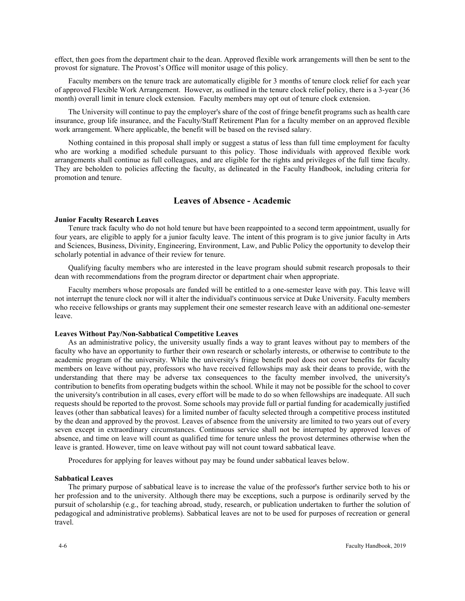effect, then goes from the department chair to the dean. Approved flexible work arrangements will then be sent to the provost for signature. The Provost's Office will monitor usage of this policy.

Faculty members on the tenure track are automatically eligible for 3 months of tenure clock relief for each year of approved Flexible Work Arrangement. However, as outlined in the tenure clock relief policy, there is a 3-year (36 month) overall limit in tenure clock extension. Faculty members may opt out of tenure clock extension.

The University will continue to pay the employer's share of the cost of fringe benefit programs such as health care insurance, group life insurance, and the Faculty/Staff Retirement Plan for a faculty member on an approved flexible work arrangement. Where applicable, the benefit will be based on the revised salary.

Nothing contained in this proposal shall imply or suggest a status of less than full time employment for faculty who are working a modified schedule pursuant to this policy. Those individuals with approved flexible work arrangements shall continue as full colleagues, and are eligible for the rights and privileges of the full time faculty. They are beholden to policies affecting the faculty, as delineated in the Faculty Handbook, including criteria for promotion and tenure.

# **Leaves of Absence - Academic**

### **Junior Faculty Research Leaves**

Tenure track faculty who do not hold tenure but have been reappointed to a second term appointment, usually for four years, are eligible to apply for a junior faculty leave. The intent of this program is to give junior faculty in Arts and Sciences, Business, Divinity, Engineering, Environment, Law, and Public Policy the opportunity to develop their scholarly potential in advance of their review for tenure.

Qualifying faculty members who are interested in the leave program should submit research proposals to their dean with recommendations from the program director or department chair when appropriate.

Faculty members whose proposals are funded will be entitled to a one-semester leave with pay. This leave will not interrupt the tenure clock nor will it alter the individual's continuous service at Duke University. Faculty members who receive fellowships or grants may supplement their one semester research leave with an additional one-semester leave.

#### **Leaves Without Pay/Non-Sabbatical Competitive Leaves**

As an administrative policy, the university usually finds a way to grant leaves without pay to members of the faculty who have an opportunity to further their own research or scholarly interests, or otherwise to contribute to the academic program of the university. While the university's fringe benefit pool does not cover benefits for faculty members on leave without pay, professors who have received fellowships may ask their deans to provide, with the understanding that there may be adverse tax consequences to the faculty member involved, the university's contribution to benefits from operating budgets within the school. While it may not be possible for the school to cover the university's contribution in all cases, every effort will be made to do so when fellowships are inadequate. All such requests should be reported to the provost. Some schools may provide full or partial funding for academically justified leaves (other than sabbatical leaves) for a limited number of faculty selected through a competitive process instituted by the dean and approved by the provost. Leaves of absence from the university are limited to two years out of every seven except in extraordinary circumstances. Continuous service shall not be interrupted by approved leaves of absence, and time on leave will count as qualified time for tenure unless the provost determines otherwise when the leave is granted. However, time on leave without pay will not count toward sabbatical leave.

Procedures for applying for leaves without pay may be found under sabbatical leaves below.

#### **Sabbatical Leaves**

The primary purpose of sabbatical leave is to increase the value of the professor's further service both to his or her profession and to the university. Although there may be exceptions, such a purpose is ordinarily served by the pursuit of scholarship (e.g., for teaching abroad, study, research, or publication undertaken to further the solution of pedagogical and administrative problems). Sabbatical leaves are not to be used for purposes of recreation or general travel.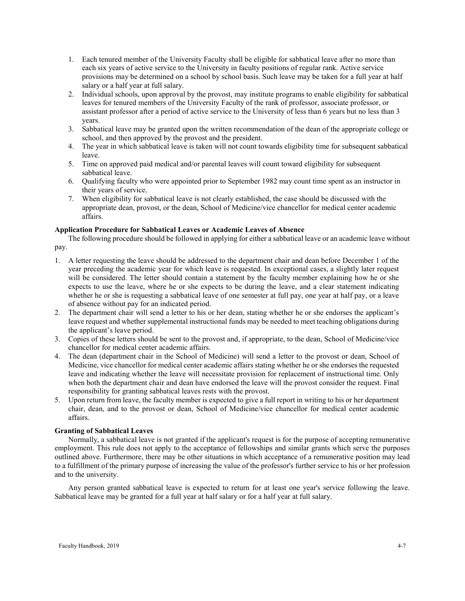- 1. Each tenured member of the University Faculty shall be eligible for sabbatical leave after no more than each six years of active service to the University in faculty positions of regular rank. Active service provisions may be determined on a school by school basis. Such leave may be taken for a full year at half salary or a half year at full salary.
- 2. Individual schools, upon approval by the provost, may institute programs to enable eligibility for sabbatical leaves for tenured members of the University Faculty of the rank of professor, associate professor, or assistant professor after a period of active service to the University of less than 6 years but no less than 3 years.
- 3. Sabbatical leave may be granted upon the written recommendation of the dean of the appropriate college or school, and then approved by the provost and the president.
- 4. The year in which sabbatical leave is taken will not count towards eligibility time for subsequent sabbatical leave.
- 5. Time on approved paid medical and/or parental leaves will count toward eligibility for subsequent sabbatical leave.
- 6. Qualifying faculty who were appointed prior to September 1982 may count time spent as an instructor in their years of service.
- 7. When eligibility for sabbatical leave is not clearly established, the case should be discussed with the appropriate dean, provost, or the dean, School of Medicine/vice chancellor for medical center academic affairs.

### **Application Procedure for Sabbatical Leaves or Academic Leaves of Absence**

The following procedure should be followed in applying for either a sabbatical leave or an academic leave without pay.

- 1. A letter requesting the leave should be addressed to the department chair and dean before December 1 of the year preceding the academic year for which leave is requested. In exceptional cases, a slightly later request will be considered. The letter should contain a statement by the faculty member explaining how he or she expects to use the leave, where he or she expects to be during the leave, and a clear statement indicating whether he or she is requesting a sabbatical leave of one semester at full pay, one year at half pay, or a leave of absence without pay for an indicated period.
- 2. The department chair will send a letter to his or her dean, stating whether he or she endorses the applicant's leave request and whether supplemental instructional funds may be needed to meet teaching obligations during the applicant's leave period.
- 3. Copies of these letters should be sent to the provost and, if appropriate, to the dean, School of Medicine/vice chancellor for medical center academic affairs.
- 4. The dean (department chair in the School of Medicine) will send a letter to the provost or dean, School of Medicine, vice chancellor for medical center academic affairs stating whether he or she endorses the requested leave and indicating whether the leave will necessitate provision for replacement of instructional time. Only when both the department chair and dean have endorsed the leave will the provost consider the request. Final responsibility for granting sabbatical leaves rests with the provost.
- 5. Upon return from leave, the faculty member is expected to give a full report in writing to his or her department chair, dean, and to the provost or dean, School of Medicine/vice chancellor for medical center academic affairs.

## **Granting of Sabbatical Leaves**

Normally, a sabbatical leave is not granted if the applicant's request is for the purpose of accepting remunerative employment. This rule does not apply to the acceptance of fellowships and similar grants which serve the purposes outlined above. Furthermore, there may be other situations in which acceptance of a remunerative position may lead to a fulfillment of the primary purpose of increasing the value of the professor's further service to his or her profession and to the university.

Any person granted sabbatical leave is expected to return for at least one year's service following the leave. Sabbatical leave may be granted for a full year at half salary or for a half year at full salary.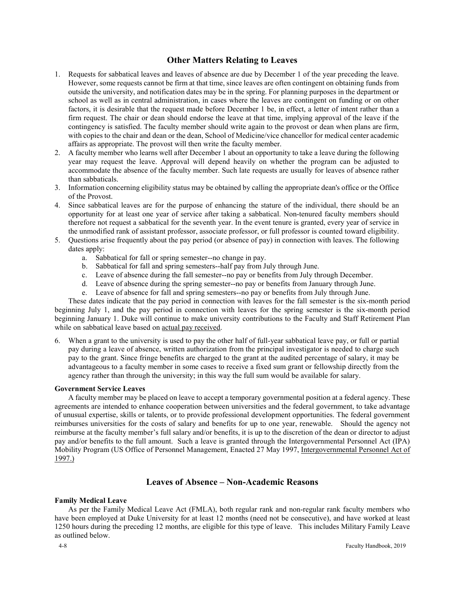# **Other Matters Relating to Leaves**

- 1. Requests for sabbatical leaves and leaves of absence are due by December 1 of the year preceding the leave. However, some requests cannot be firm at that time, since leaves are often contingent on obtaining funds from outside the university, and notification dates may be in the spring. For planning purposes in the department or school as well as in central administration, in cases where the leaves are contingent on funding or on other factors, it is desirable that the request made before December 1 be, in effect, a letter of intent rather than a firm request. The chair or dean should endorse the leave at that time, implying approval of the leave if the contingency is satisfied. The faculty member should write again to the provost or dean when plans are firm, with copies to the chair and dean or the dean, School of Medicine/vice chancellor for medical center academic affairs as appropriate. The provost will then write the faculty member.
- 2. A faculty member who learns well after December 1 about an opportunity to take a leave during the following year may request the leave. Approval will depend heavily on whether the program can be adjusted to accommodate the absence of the faculty member. Such late requests are usually for leaves of absence rather than sabbaticals.
- 3. Information concerning eligibility status may be obtained by calling the appropriate dean's office or the Office of the Provost.
- 4. Since sabbatical leaves are for the purpose of enhancing the stature of the individual, there should be an opportunity for at least one year of service after taking a sabbatical. Non-tenured faculty members should therefore not request a sabbatical for the seventh year. In the event tenure is granted, every year of service in the unmodified rank of assistant professor, associate professor, or full professor is counted toward eligibility.
- 5. Questions arise frequently about the pay period (or absence of pay) in connection with leaves. The following dates apply:
	- a. Sabbatical for fall or spring semester--no change in pay.
	- b. Sabbatical for fall and spring semesters--half pay from July through June.
	- c. Leave of absence during the fall semester--no pay or benefits from July through December.
	- d. Leave of absence during the spring semester--no pay or benefits from January through June.
	- e. Leave of absence for fall and spring semesters--no pay or benefits from July through June.

These dates indicate that the pay period in connection with leaves for the fall semester is the six-month period beginning July 1, and the pay period in connection with leaves for the spring semester is the six-month period beginning January 1. Duke will continue to make university contributions to the Faculty and Staff Retirement Plan while on sabbatical leave based on actual pay received.

6. When a grant to the university is used to pay the other half of full-year sabbatical leave pay, or full or partial pay during a leave of absence, written authorization from the principal investigator is needed to charge such pay to the grant. Since fringe benefits are charged to the grant at the audited percentage of salary, it may be advantageous to a faculty member in some cases to receive a fixed sum grant or fellowship directly from the agency rather than through the university; in this way the full sum would be available for salary.

### **Government Service Leaves**

A faculty member may be placed on leave to accept a temporary governmental position at a federal agency. These agreements are intended to enhance cooperation between universities and the federal government, to take advantage of unusual expertise, skills or talents, or to provide professional development opportunities. The federal government reimburses universities for the costs of salary and benefits for up to one year, renewable. Should the agency not reimburse at the faculty member's full salary and/or benefits, it is up to the discretion of the dean or director to adjust pay and/or benefits to the full amount. Such a leave is granted through the Intergovernmental Personnel Act (IPA) Mobility Program (US Office of Personnel Management, Enacted 27 May 1997, Intergovernmental Personnel Act of 1997.)

# **Leaves of Absence – Non-Academic Reasons**

### **Family Medical Leave**

As per the Family Medical Leave Act (FMLA), both regular rank and non-regular rank faculty members who have been employed at Duke University for at least 12 months (need not be consecutive), and have worked at least 1250 hours during the preceding 12 months, are eligible for this type of leave. This includes Military Family Leave as outlined below.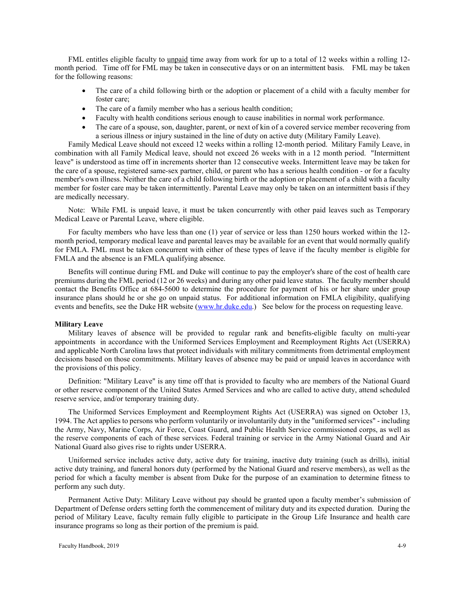FML entitles eligible faculty to unpaid time away from work for up to a total of 12 weeks within a rolling 12month period. Time off for FML may be taken in consecutive days or on an intermittent basis. FML may be taken for the following reasons:

- The care of a child following birth or the adoption or placement of a child with a faculty member for foster care;
- The care of a family member who has a serious health condition;
- Faculty with health conditions serious enough to cause inabilities in normal work performance.
- The care of a spouse, son, daughter, parent, or next of kin of a covered service member recovering from a serious illness or injury sustained in the line of duty on active duty (Military Family Leave).

Family Medical Leave should not exceed 12 weeks within a rolling 12-month period. Military Family Leave, in combination with all Family Medical leave, should not exceed 26 weeks with in a 12 month period. "Intermittent leave" is understood as time off in increments shorter than 12 consecutive weeks. Intermittent leave may be taken for the care of a spouse, registered same-sex partner, child, or parent who has a serious health condition - or for a faculty member's own illness. Neither the care of a child following birth or the adoption or placement of a child with a faculty member for foster care may be taken intermittently. Parental Leave may only be taken on an intermittent basis if they are medically necessary.

Note: While FML is unpaid leave, it must be taken concurrently with other paid leaves such as Temporary Medical Leave or Parental Leave, where eligible.

For faculty members who have less than one (1) year of service or less than 1250 hours worked within the 12 month period, temporary medical leave and parental leaves may be available for an event that would normally qualify for FMLA. FML must be taken concurrent with either of these types of leave if the faculty member is eligible for FMLA and the absence is an FMLA qualifying absence.

Benefits will continue during FML and Duke will continue to pay the employer's share of the cost of health care premiums during the FML period (12 or 26 weeks) and during any other paid leave status. The faculty member should contact the Benefits Office at 684-5600 to determine the procedure for payment of his or her share under group insurance plans should he or she go on unpaid status. For additional information on FMLA eligibility, qualifying events and benefits, see the Duke HR website [\(www.hr.duke.edu.](http://www.hr.duke.edu/)) See below for the process on requesting leave.

### **Military Leave**

Military leaves of absence will be provided to regular rank and benefits-eligible faculty on multi-year appointments in accordance with the Uniformed Services Employment and Reemployment Rights Act (USERRA) and applicable North Carolina laws that protect individuals with military commitments from detrimental employment decisions based on those commitments. Military leaves of absence may be paid or unpaid leaves in accordance with the provisions of this policy.

Definition: "Military Leave" is any time off that is provided to faculty who are members of the National Guard or other reserve component of the United States Armed Services and who are called to active duty, attend scheduled reserve service, and/or temporary training duty.

The Uniformed Services Employment and Reemployment Rights Act (USERRA) was signed on October 13, 1994. The Act applies to persons who perform voluntarily or involuntarily duty in the "uniformed services" - including the Army, Navy, Marine Corps, Air Force, Coast Guard, and Public Health Service commissioned corps, as well as the reserve components of each of these services. Federal training or service in the Army National Guard and Air National Guard also gives rise to rights under USERRA.

Uniformed service includes active duty, active duty for training, inactive duty training (such as drills), initial active duty training, and funeral honors duty (performed by the National Guard and reserve members), as well as the period for which a faculty member is absent from Duke for the purpose of an examination to determine fitness to perform any such duty.

Permanent Active Duty: Military Leave without pay should be granted upon a faculty member's submission of Department of Defense orders setting forth the commencement of military duty and its expected duration. During the period of Military Leave, faculty remain fully eligible to participate in the Group Life Insurance and health care insurance programs so long as their portion of the premium is paid.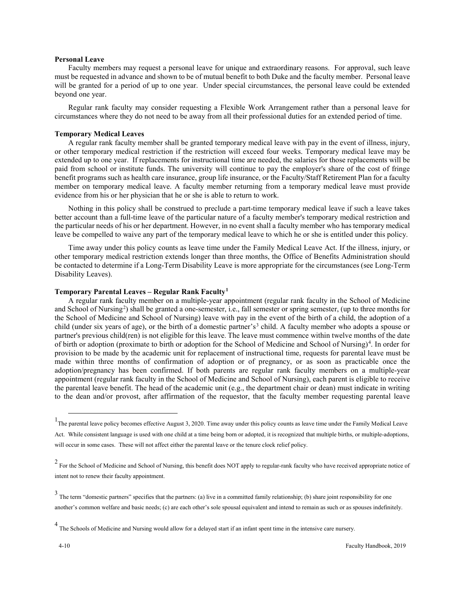### **Personal Leave**

Faculty members may request a personal leave for unique and extraordinary reasons. For approval, such leave must be requested in advance and shown to be of mutual benefit to both Duke and the faculty member. Personal leave will be granted for a period of up to one year. Under special circumstances, the personal leave could be extended beyond one year.

Regular rank faculty may consider requesting a Flexible Work Arrangement rather than a personal leave for circumstances where they do not need to be away from all their professional duties for an extended period of time.

#### **Temporary Medical Leaves**

A regular rank faculty member shall be granted temporary medical leave with pay in the event of illness, injury, or other temporary medical restriction if the restriction will exceed four weeks. Temporary medical leave may be extended up to one year. If replacements for instructional time are needed, the salaries for those replacements will be paid from school or institute funds. The university will continue to pay the employer's share of the cost of fringe benefit programs such as health care insurance, group life insurance, or the Faculty/Staff Retirement Plan for a faculty member on temporary medical leave. A faculty member returning from a temporary medical leave must provide evidence from his or her physician that he or she is able to return to work.

Nothing in this policy shall be construed to preclude a part-time temporary medical leave if such a leave takes better account than a full-time leave of the particular nature of a faculty member's temporary medical restriction and the particular needs of his or her department. However, in no event shall a faculty member who has temporary medical leave be compelled to waive any part of the temporary medical leave to which he or she is entitled under this policy.

Time away under this policy counts as leave time under the Family Medical Leave Act. If the illness, injury, or other temporary medical restriction extends longer than three months, the Office of Benefits Administration should be contacted to determine if a Long-Term Disability Leave is more appropriate for the circumstances (see Long-Term Disability Leaves).

### **Temporary Parental Leaves – Regular Rank Faculty[1](#page-9-0)**

A regular rank faculty member on a multiple-year appointment (regular rank faculty in the School of Medicine and School of Nursing<sup>[2](#page-9-1)</sup>) shall be granted a one-semester, i.e., fall semester or spring semester, (up to three months for the School of Medicine and School of Nursing) leave with pay in the event of the birth of a child, the adoption of a child (under six years of age), or the birth of a domestic partner's<sup>[3](#page-9-2)</sup> child. A faculty member who adopts a spouse or partner's previous child(ren) is not eligible for this leave. The leave must commence within twelve months of the date of birth or adoption (proximate to birth or adoption for the School of Medicine and School of Nursing)<sup>[4](#page-9-3)</sup>. In order for provision to be made by the academic unit for replacement of instructional time, requests for parental leave must be made within three months of confirmation of adoption or of pregnancy, or as soon as practicable once the adoption/pregnancy has been confirmed. If both parents are regular rank faculty members on a multiple-year appointment (regular rank faculty in the School of Medicine and School of Nursing), each parent is eligible to receive the parental leave benefit. The head of the academic unit (e.g., the department chair or dean) must indicate in writing to the dean and/or provost, after affirmation of the requestor, that the faculty member requesting parental leave

<span id="page-9-0"></span><sup>1&</sup>lt;br>The parental leave policy becomes effective August 3, 2020. Time away under this policy counts as leave time under the Family Medical Leave Act. While consistent language is used with one child at a time being born or adopted, it is recognized that multiple births, or multiple-adoptions, will occur in some cases. These will not affect either the parental leave or the tenure clock relief policy.

<span id="page-9-1"></span><sup>&</sup>lt;sup>2</sup> For the School of Medicine and School of Nursing, this benefit does NOT apply to regular-rank faculty who have received appropriate notice of intent not to renew their faculty appointment.

<span id="page-9-2"></span> $3$  The term "domestic partners" specifies that the partners: (a) live in a committed family relationship; (b) share joint responsibility for one another's common welfare and basic needs; (c) are each other's sole spousal equivalent and intend to remain as such or as spouses indefinitely.

<span id="page-9-3"></span> $<sup>4</sup>$  The Schools of Medicine and Nursing would allow for a delayed start if an infant spent time in the intensive care nursery.</sup>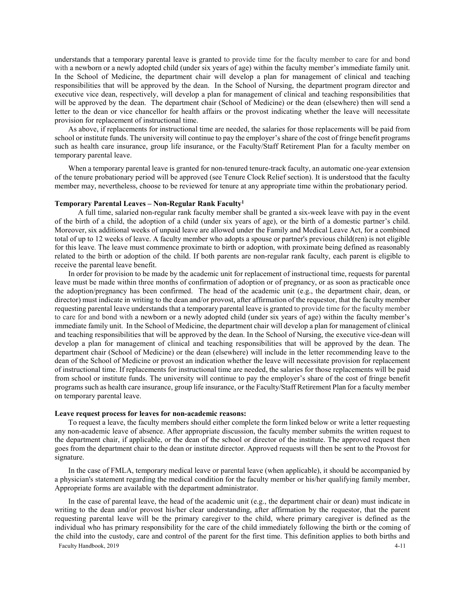understands that a temporary parental leave is granted to provide time for the faculty member to care for and bond with a newborn or a newly adopted child (under six years of age) within the faculty member's immediate family unit. In the School of Medicine, the department chair will develop a plan for management of clinical and teaching responsibilities that will be approved by the dean. In the School of Nursing, the department program director and executive vice dean, respectively, will develop a plan for management of clinical and teaching responsibilities that will be approved by the dean. The department chair (School of Medicine) or the dean (elsewhere) then will send a letter to the dean or vice chancellor for health affairs or the provost indicating whether the leave will necessitate provision for replacement of instructional time.

As above, if replacements for instructional time are needed, the salaries for those replacements will be paid from school or institute funds. The university will continue to pay the employer's share of the cost of fringe benefit programs such as health care insurance, group life insurance, or the Faculty/Staff Retirement Plan for a faculty member on temporary parental leave.

When a temporary parental leave is granted for non-tenured tenure-track faculty, an automatic one-year extension of the tenure probationary period will be approved (see Tenure Clock Relief section). It is understood that the faculty member may, nevertheless, choose to be reviewed for tenure at any appropriate time within the probationary period.

#### **Temporary Parental Leaves – Non-Regular Rank Faculty1**

 A full time, salaried non-regular rank faculty member shall be granted a six-week leave with pay in the event of the birth of a child, the adoption of a child (under six years of age), or the birth of a domestic partner's child. Moreover, six additional weeks of unpaid leave are allowed under the Family and Medical Leave Act, for a combined total of up to 12 weeks of leave. A faculty member who adopts a spouse or partner's previous child(ren) is not eligible for this leave. The leave must commence proximate to birth or adoption, with proximate being defined as reasonably related to the birth or adoption of the child. If both parents are non-regular rank faculty, each parent is eligible to receive the parental leave benefit.

In order for provision to be made by the academic unit for replacement of instructional time, requests for parental leave must be made within three months of confirmation of adoption or of pregnancy, or as soon as practicable once the adoption/pregnancy has been confirmed. The head of the academic unit (e.g., the department chair, dean, or director) must indicate in writing to the dean and/or provost, after affirmation of the requestor, that the faculty member requesting parental leave understands that a temporary parental leave is granted to provide time for the faculty member to care for and bond with a newborn or a newly adopted child (under six years of age) within the faculty member's immediate family unit. In the School of Medicine, the department chair will develop a plan for management of clinical and teaching responsibilities that will be approved by the dean. In the School of Nursing, the executive vice-dean will develop a plan for management of clinical and teaching responsibilities that will be approved by the dean. The department chair (School of Medicine) or the dean (elsewhere) will include in the letter recommending leave to the dean of the School of Medicine or provost an indication whether the leave will necessitate provision for replacement of instructional time. If replacements for instructional time are needed, the salaries for those replacements will be paid from school or institute funds. The university will continue to pay the employer's share of the cost of fringe benefit programs such as health care insurance, group life insurance, or the Faculty/Staff Retirement Plan for a faculty member on temporary parental leave.

#### **Leave request process for leaves for non-academic reasons:**

To request a leave, the faculty members should either complete the form linked below or write a letter requesting any non-academic leave of absence. After appropriate discussion, the faculty member submits the written request to the department chair, if applicable, or the dean of the school or director of the institute. The approved request then goes from the department chair to the dean or institute director. Approved requests will then be sent to the Provost for signature.

In the case of FMLA, temporary medical leave or parental leave (when applicable), it should be accompanied by a physician's statement regarding the medical condition for the faculty member or his/her qualifying family member, Appropriate forms are available with the department administrator.

In the case of parental leave, the head of the academic unit (e.g., the department chair or dean) must indicate in writing to the dean and/or provost his/her clear understanding, after affirmation by the requestor, that the parent requesting parental leave will be the primary caregiver to the child, where primary caregiver is defined as the individual who has primary responsibility for the care of the child immediately following the birth or the coming of the child into the custody, care and control of the parent for the first time. This definition applies to both births and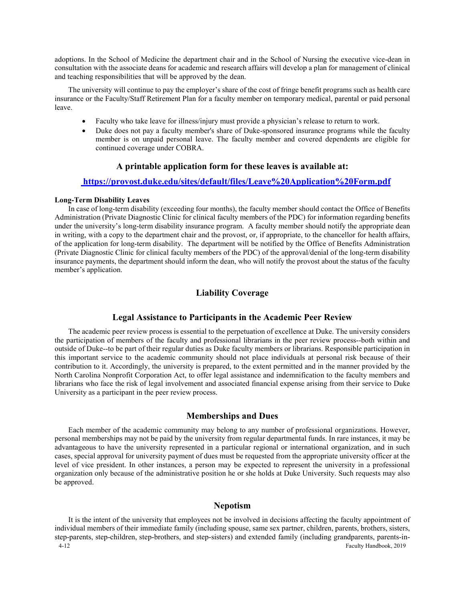adoptions. In the School of Medicine the department chair and in the School of Nursing the executive vice-dean in consultation with the associate deans for academic and research affairs will develop a plan for management of clinical and teaching responsibilities that will be approved by the dean.

The university will continue to pay the employer's share of the cost of fringe benefit programs such as health care insurance or the Faculty/Staff Retirement Plan for a faculty member on temporary medical, parental or paid personal leave.

- Faculty who take leave for illness/injury must provide a physician's release to return to work.
- Duke does not pay a faculty member's share of Duke-sponsored insurance programs while the faculty member is on unpaid personal leave. The faculty member and covered dependents are eligible for continued coverage under COBRA.

# **A printable application form for these leaves is available at:**

### **<https://provost.duke.edu/sites/default/files/Leave%20Application%20Form.pdf>**

### **Long-Term Disability Leaves**

In case of long-term disability (exceeding four months), the faculty member should contact the Office of Benefits Administration (Private Diagnostic Clinic for clinical faculty members of the PDC) for information regarding benefits under the university's long-term disability insurance program. A faculty member should notify the appropriate dean in writing, with a copy to the department chair and the provost, or, if appropriate, to the chancellor for health affairs, of the application for long-term disability. The department will be notified by the Office of Benefits Administration (Private Diagnostic Clinic for clinical faculty members of the PDC) of the approval/denial of the long-term disability insurance payments, the department should inform the dean, who will notify the provost about the status of the faculty member's application.

# **Liability Coverage**

# **Legal Assistance to Participants in the Academic Peer Review**

The academic peer review process is essential to the perpetuation of excellence at Duke. The university considers the participation of members of the faculty and professional librarians in the peer review process--both within and outside of Duke--to be part of their regular duties as Duke faculty members or librarians. Responsible participation in this important service to the academic community should not place individuals at personal risk because of their contribution to it. Accordingly, the university is prepared, to the extent permitted and in the manner provided by the North Carolina Nonprofit Corporation Act, to offer legal assistance and indemnification to the faculty members and librarians who face the risk of legal involvement and associated financial expense arising from their service to Duke University as a participant in the peer review process.

### **Memberships and Dues**

Each member of the academic community may belong to any number of professional organizations. However, personal memberships may not be paid by the university from regular departmental funds. In rare instances, it may be advantageous to have the university represented in a particular regional or international organization, and in such cases, special approval for university payment of dues must be requested from the appropriate university officer at the level of vice president. In other instances, a person may be expected to represent the university in a professional organization only because of the administrative position he or she holds at Duke University. Such requests may also be approved.

# **Nepotism**

4-12 Faculty Handbook, 2019 It is the intent of the university that employees not be involved in decisions affecting the faculty appointment of individual members of their immediate family (including spouse, same sex partner, children, parents, brothers, sisters, step-parents, step-children, step-brothers, and step-sisters) and extended family (including grandparents, parents-in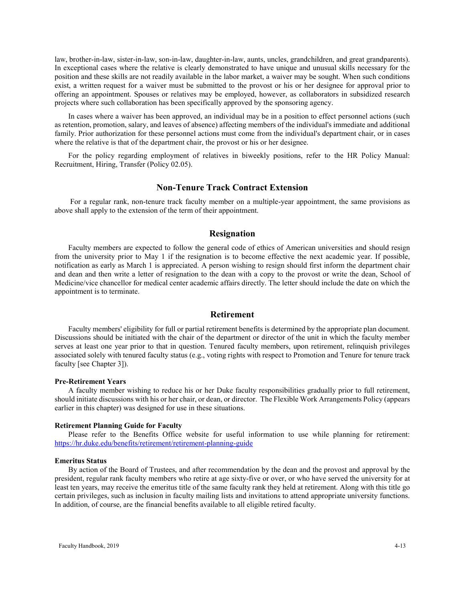law, brother-in-law, sister-in-law, son-in-law, daughter-in-law, aunts, uncles, grandchildren, and great grandparents). In exceptional cases where the relative is clearly demonstrated to have unique and unusual skills necessary for the position and these skills are not readily available in the labor market, a waiver may be sought. When such conditions exist, a written request for a waiver must be submitted to the provost or his or her designee for approval prior to offering an appointment. Spouses or relatives may be employed, however, as collaborators in subsidized research projects where such collaboration has been specifically approved by the sponsoring agency.

In cases where a waiver has been approved, an individual may be in a position to effect personnel actions (such as retention, promotion, salary, and leaves of absence) affecting members of the individual's immediate and additional family. Prior authorization for these personnel actions must come from the individual's department chair, or in cases where the relative is that of the department chair, the provost or his or her designee.

For the policy regarding employment of relatives in biweekly positions, refer to the HR Policy Manual: Recruitment, Hiring, Transfer (Policy 02.05).

## **Non-Tenure Track Contract Extension**

For a regular rank, non-tenure track faculty member on a multiple-year appointment, the same provisions as above shall apply to the extension of the term of their appointment.

# **Resignation**

Faculty members are expected to follow the general code of ethics of American universities and should resign from the university prior to May 1 if the resignation is to become effective the next academic year. If possible, notification as early as March 1 is appreciated. A person wishing to resign should first inform the department chair and dean and then write a letter of resignation to the dean with a copy to the provost or write the dean, School of Medicine/vice chancellor for medical center academic affairs directly. The letter should include the date on which the appointment is to terminate.

### **Retirement**

Faculty members' eligibility for full or partial retirement benefits is determined by the appropriate plan document. Discussions should be initiated with the chair of the department or director of the unit in which the faculty member serves at least one year prior to that in question. Tenured faculty members, upon retirement, relinquish privileges associated solely with tenured faculty status (e.g., voting rights with respect to Promotion and Tenure for tenure track faculty [see Chapter 3]).

### **Pre-Retirement Years**

A faculty member wishing to reduce his or her Duke faculty responsibilities gradually prior to full retirement, should initiate discussions with his or her chair, or dean, or director. The Flexible Work Arrangements Policy (appears earlier in this chapter) was designed for use in these situations.

#### **Retirement Planning Guide for Faculty**

Please refer to the Benefits Office website for useful information to use while planning for retirement: <https://hr.duke.edu/benefits/retirement/retirement-planning-guide>

#### **Emeritus Status**

By action of the Board of Trustees, and after recommendation by the dean and the provost and approval by the president, regular rank faculty members who retire at age sixty-five or over, or who have served the university for at least ten years, may receive the emeritus title of the same faculty rank they held at retirement. Along with this title go certain privileges, such as inclusion in faculty mailing lists and invitations to attend appropriate university functions. In addition, of course, are the financial benefits available to all eligible retired faculty.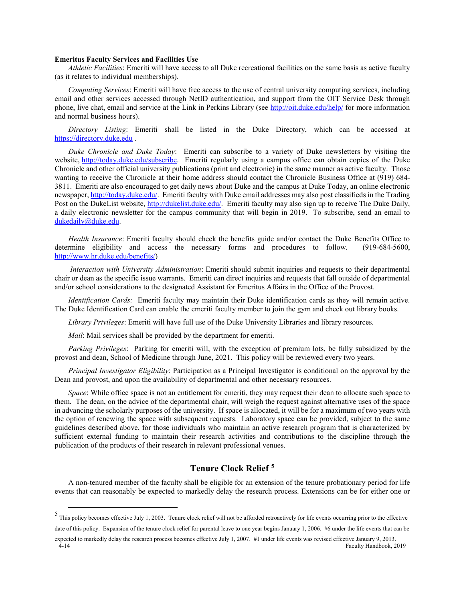### **Emeritus Faculty Services and Facilities Use**

*Athletic Facilities*: Emeriti will have access to all Duke recreational facilities on the same basis as active faculty (as it relates to individual memberships).

*Computing Services*: Emeriti will have free access to the use of central university computing services, including email and other services accessed through NetID authentication, and support from the OIT Service Desk through phone, live chat, email and service at the Link in Perkins Library (see<http://oit.duke.edu/help/> for more information and normal business hours).

*Directory Listing*: Emeriti shall be listed in the Duke Directory, which can be accessed at [https://directory.duke.edu](https://directory.duke.edu/) .

*Duke Chronicle and Duke Today*: Emeriti can subscribe to a variety of Duke newsletters by visiting the website, [http://today.duke.edu/subscribe.](http://today.duke.edu/subscribe) Emeriti regularly using a campus office can obtain copies of the Duke Chronicle and other official university publications (print and electronic) in the same manner as active faculty. Those wanting to receive the Chronicle at their home address should contact the Chronicle Business Office at (919) 684- 3811. Emeriti are also encouraged to get daily news about Duke and the campus at Duke Today, an online electronic newspaper[, http://today.duke.edu/.](http://today.duke.edu/) Emeriti faculty with Duke email addresses may also post classifieds in the Trading Post on the DukeList website, [http://dukelist.duke.edu/.](http://dukelist.duke.edu/) Emeriti faculty may also sign up to receive The Duke Daily, a daily electronic newsletter for the campus community that will begin in 2019. To subscribe, send an email to [dukedaily@duke.edu.](mailto:dukedaily@duke.edu)

*Health Insurance*: Emeriti faculty should check the benefits guide and/or contact the Duke Benefits Office to determine eligibility and access the necessary forms and procedures to follow. (919-684-5600, [http://www.hr.duke.edu/benefits/\)](http://www.hr.duke.edu/benefits/)

*Interaction with University Administration*: Emeriti should submit inquiries and requests to their departmental chair or dean as the specific issue warrants. Emeriti can direct inquiries and requests that fall outside of departmental and/or school considerations to the designated Assistant for Emeritus Affairs in the Office of the Provost.

*Identification Cards:* Emeriti faculty may maintain their Duke identification cards as they will remain active. The Duke Identification Card can enable the emeriti faculty member to join the gym and check out library books.

*Library Privileges*: Emeriti will have full use of the Duke University Libraries and library resources.

*Mail*: Mail services shall be provided by the department for emeriti.

*Parking Privileges*: Parking for emeriti will, with the exception of premium lots, be fully subsidized by the provost and dean, School of Medicine through June, 2021. This policy will be reviewed every two years.

*Principal Investigator Eligibility*: Participation as a Principal Investigator is conditional on the approval by the Dean and provost, and upon the availability of departmental and other necessary resources.

*Space*: While office space is not an entitlement for emeriti, they may request their dean to allocate such space to them. The dean, on the advice of the departmental chair, will weigh the request against alternative uses of the space in advancing the scholarly purposes of the university. If space is allocated, it will be for a maximum of two years with the option of renewing the space with subsequent requests. Laboratory space can be provided, subject to the same guidelines described above, for those individuals who maintain an active research program that is characterized by sufficient external funding to maintain their research activities and contributions to the discipline through the publication of the products of their research in relevant professional venues.

# **Tenure Clock Relief [5](#page-13-0)**

A non-tenured member of the faculty shall be eligible for an extension of the tenure probationary period for life events that can reasonably be expected to markedly delay the research process. Extensions can be for either one or

<span id="page-13-0"></span> <sup>5</sup> This policy becomes effective July 1, 2003. Tenure clock relief will not be afforded retroactively for life events occurring prior to the effective date of this policy. Expansion of the tenure clock relief for parental leave to one year begins January 1, 2006. #6 under the life events that can be

<sup>4-14</sup> Faculty Handbook, 2019 expected to markedly delay the research process becomes effective July 1, 2007. #1 under life events was revised effective January 9, 2013.